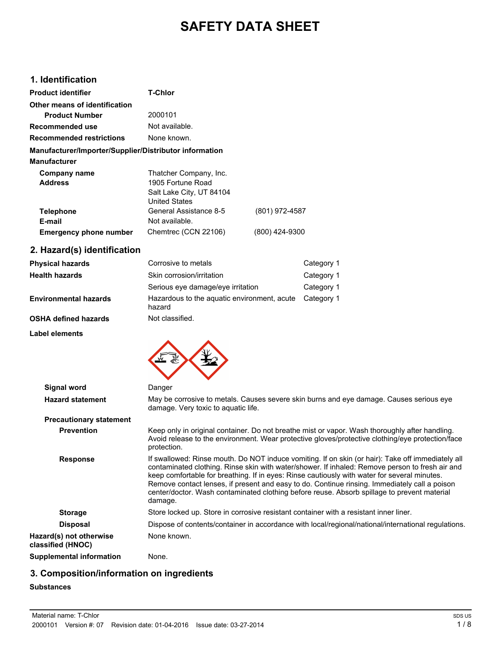# **SAFETY DATA SHEET**

# **1. Identification**

| <b>Product identifier</b>                              | <b>T-Chlor</b>           |                |  |
|--------------------------------------------------------|--------------------------|----------------|--|
| Other means of identification                          |                          |                |  |
| <b>Product Number</b>                                  | 2000101                  |                |  |
| Recommended use                                        | Not available.           |                |  |
| <b>Recommended restrictions</b>                        | None known.              |                |  |
| Manufacturer/Importer/Supplier/Distributor information |                          |                |  |
| <b>Manufacturer</b>                                    |                          |                |  |
| Company name                                           | Thatcher Company, Inc.   |                |  |
| <b>Address</b>                                         | 1905 Fortune Road        |                |  |
|                                                        | Salt Lake City, UT 84104 |                |  |
|                                                        | <b>United States</b>     |                |  |
| <b>Telephone</b>                                       | General Assistance 8-5   | (801) 972-4587 |  |
| E-mail                                                 | Not available.           |                |  |
| <b>Emergency phone number</b>                          | Chemtrec (CCN 22106)     | (800) 424-9300 |  |

# **2. Hazard(s) identification**

| <b>Physical hazards</b>      | Corrosive to metals                                   | Category 1 |
|------------------------------|-------------------------------------------------------|------------|
| <b>Health hazards</b>        | Skin corrosion/irritation                             | Category 1 |
|                              | Serious eye damage/eye irritation                     | Category 1 |
| <b>Environmental hazards</b> | Hazardous to the aguatic environment, acute<br>hazard | Category 1 |
| <b>OSHA defined hazards</b>  | Not classified.                                       |            |

#### **Label elements**



| Signal word                                  | Danger                                                                                                                                                                                                                                                                                                                                                                                                                                                                                                          |
|----------------------------------------------|-----------------------------------------------------------------------------------------------------------------------------------------------------------------------------------------------------------------------------------------------------------------------------------------------------------------------------------------------------------------------------------------------------------------------------------------------------------------------------------------------------------------|
| <b>Hazard statement</b>                      | May be corrosive to metals. Causes severe skin burns and eye damage. Causes serious eye<br>damage. Very toxic to aguatic life.                                                                                                                                                                                                                                                                                                                                                                                  |
| <b>Precautionary statement</b>               |                                                                                                                                                                                                                                                                                                                                                                                                                                                                                                                 |
| <b>Prevention</b>                            | Keep only in original container. Do not breathe mist or vapor. Wash thoroughly after handling.<br>Avoid release to the environment. Wear protective gloves/protective clothing/eye protection/face<br>protection.                                                                                                                                                                                                                                                                                               |
| <b>Response</b>                              | If swallowed: Rinse mouth. Do NOT induce vomiting. If on skin (or hair): Take off immediately all<br>contaminated clothing. Rinse skin with water/shower. If inhaled: Remove person to fresh air and<br>keep comfortable for breathing. If in eyes: Rinse cautiously with water for several minutes.<br>Remove contact lenses, if present and easy to do. Continue rinsing. Immediately call a poison<br>center/doctor. Wash contaminated clothing before reuse. Absorb spillage to prevent material<br>damage. |
| <b>Storage</b>                               | Store locked up. Store in corrosive resistant container with a resistant inner liner.                                                                                                                                                                                                                                                                                                                                                                                                                           |
| <b>Disposal</b>                              | Dispose of contents/container in accordance with local/regional/national/international regulations.                                                                                                                                                                                                                                                                                                                                                                                                             |
| Hazard(s) not otherwise<br>classified (HNOC) | None known.                                                                                                                                                                                                                                                                                                                                                                                                                                                                                                     |
| Supplemental information                     | None.                                                                                                                                                                                                                                                                                                                                                                                                                                                                                                           |

# **3. Composition/information on ingredients**

#### **Substances**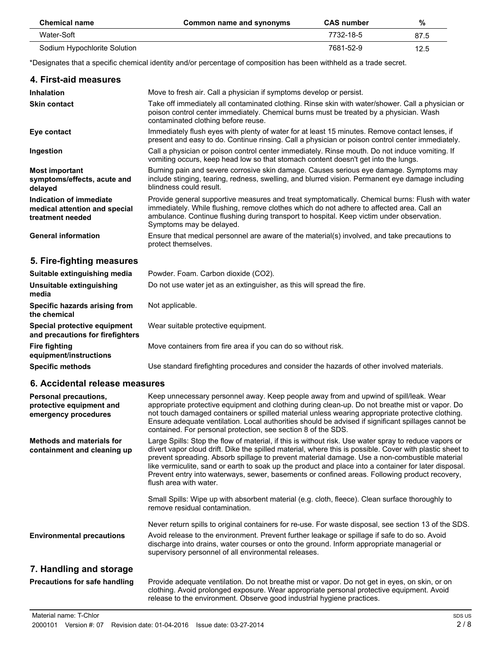| <b>Chemical name</b>         | Common name and synonyms | <b>CAS</b> number | %    |
|------------------------------|--------------------------|-------------------|------|
| Water-Soft                   |                          | 7732-18-5         | 87.5 |
| Sodium Hypochlorite Solution |                          | 7681-52-9         | 12.5 |

\*Designates that a specific chemical identity and/or percentage of composition has been withheld as a trade secret.

| 4. First-aid measures                                                        |                                                                                                                                                                                                                                                                                                                       |
|------------------------------------------------------------------------------|-----------------------------------------------------------------------------------------------------------------------------------------------------------------------------------------------------------------------------------------------------------------------------------------------------------------------|
| Inhalation                                                                   | Move to fresh air. Call a physician if symptoms develop or persist.                                                                                                                                                                                                                                                   |
| <b>Skin contact</b>                                                          | Take off immediately all contaminated clothing. Rinse skin with water/shower. Call a physician or<br>poison control center immediately. Chemical burns must be treated by a physician. Wash<br>contaminated clothing before reuse.                                                                                    |
| Eye contact                                                                  | Immediately flush eyes with plenty of water for at least 15 minutes. Remove contact lenses, if<br>present and easy to do. Continue rinsing. Call a physician or poison control center immediately.                                                                                                                    |
| Ingestion                                                                    | Call a physician or poison control center immediately. Rinse mouth. Do not induce vomiting. If<br>vomiting occurs, keep head low so that stomach content doesn't get into the lungs.                                                                                                                                  |
| <b>Most important</b><br>symptoms/effects, acute and<br>delayed              | Burning pain and severe corrosive skin damage. Causes serious eye damage. Symptoms may<br>include stinging, tearing, redness, swelling, and blurred vision. Permanent eye damage including<br>blindness could result.                                                                                                 |
| Indication of immediate<br>medical attention and special<br>treatment needed | Provide general supportive measures and treat symptomatically. Chemical burns: Flush with water<br>immediately. While flushing, remove clothes which do not adhere to affected area. Call an<br>ambulance. Continue flushing during transport to hospital. Keep victim under observation.<br>Symptoms may be delayed. |
| <b>General information</b>                                                   | Ensure that medical personnel are aware of the material(s) involved, and take precautions to<br>protect themselves.                                                                                                                                                                                                   |
| 5. Fire-fighting measures                                                    |                                                                                                                                                                                                                                                                                                                       |
| Suitable extinguishing media                                                 | Powder. Foam. Carbon dioxide (CO2).                                                                                                                                                                                                                                                                                   |
| Unsuitable extinguishing<br>media                                            | Do not use water jet as an extinguisher, as this will spread the fire.                                                                                                                                                                                                                                                |
| Specific hazards arising from<br>the chemical                                | Not applicable.                                                                                                                                                                                                                                                                                                       |
| Special protective equipment<br>and precautions for firefighters             | Wear suitable protective equipment.                                                                                                                                                                                                                                                                                   |
| <b>Fire fighting</b><br>equipment/instructions                               | Move containers from fire area if you can do so without risk.                                                                                                                                                                                                                                                         |
| <b>Specific methods</b>                                                      | Use standard firefighting procedures and consider the hazards of other involved materials.                                                                                                                                                                                                                            |
| 6. Accidental release measures                                               |                                                                                                                                                                                                                                                                                                                       |
|                                                                              |                                                                                                                                                                                                                                                                                                                       |

| <b>Personal precautions,</b><br>protective equipment and<br>emergency procedures | Keep unnecessary personnel away. Keep people away from and upwind of spill/leak. Wear<br>appropriate protective equipment and clothing during clean-up. Do not breathe mist or vapor. Do<br>not touch damaged containers or spilled material unless wearing appropriate protective clothing.<br>Ensure adequate ventilation. Local authorities should be advised if significant spillages cannot be<br>contained. For personal protection, see section 8 of the SDS.                                                                                                                                                                                                                        |
|----------------------------------------------------------------------------------|---------------------------------------------------------------------------------------------------------------------------------------------------------------------------------------------------------------------------------------------------------------------------------------------------------------------------------------------------------------------------------------------------------------------------------------------------------------------------------------------------------------------------------------------------------------------------------------------------------------------------------------------------------------------------------------------|
| <b>Methods and materials for</b><br>containment and cleaning up                  | Large Spills: Stop the flow of material, if this is without risk. Use water spray to reduce vapors or<br>divert vapor cloud drift. Dike the spilled material, where this is possible. Cover with plastic sheet to<br>prevent spreading. Absorb spillage to prevent material damage. Use a non-combustible material<br>like vermiculite, sand or earth to soak up the product and place into a container for later disposal.<br>Prevent entry into waterways, sewer, basements or confined areas. Following product recovery,<br>flush area with water.<br>Small Spills: Wipe up with absorbent material (e.g. cloth, fleece). Clean surface thoroughly to<br>remove residual contamination. |
| <b>Environmental precautions</b>                                                 | Never return spills to original containers for re-use. For waste disposal, see section 13 of the SDS.<br>Avoid release to the environment. Prevent further leakage or spillage if safe to do so. Avoid<br>discharge into drains, water courses or onto the ground. Inform appropriate managerial or<br>supervisory personnel of all environmental releases.                                                                                                                                                                                                                                                                                                                                 |
| 7. Handling and storage                                                          |                                                                                                                                                                                                                                                                                                                                                                                                                                                                                                                                                                                                                                                                                             |
| <b>Precautions for safe handling</b>                                             | Provide adequate ventilation. Do not breathe mist or vapor. Do not get in eyes, on skin, or on                                                                                                                                                                                                                                                                                                                                                                                                                                                                                                                                                                                              |

clothing. Avoid prolonged exposure. Wear appropriate personal protective equipment. Avoid

release to the environment. Observe good industrial hygiene practices.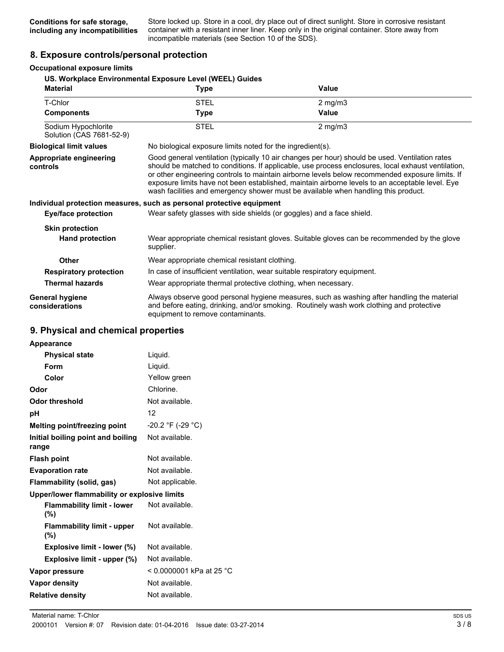Store locked up. Store in a cool, dry place out of direct sunlight. Store in corrosive resistant container with a resistant inner liner. Keep only in the original container. Store away from incompatible materials (see Section 10 of the SDS).

#### **8. Exposure controls/personal protection**

#### **Occupational exposure limits**

| <b>Material</b>                                 | Type                                                                                                                                                                                                                                                                                                                                                                                                                                                                                             | Value                                                      |  |
|-------------------------------------------------|--------------------------------------------------------------------------------------------------------------------------------------------------------------------------------------------------------------------------------------------------------------------------------------------------------------------------------------------------------------------------------------------------------------------------------------------------------------------------------------------------|------------------------------------------------------------|--|
| T-Chlor                                         | <b>STEL</b>                                                                                                                                                                                                                                                                                                                                                                                                                                                                                      | $2$ mg/m $3$                                               |  |
| <b>Components</b>                               | <b>Type</b>                                                                                                                                                                                                                                                                                                                                                                                                                                                                                      | Value                                                      |  |
| Sodium Hypochlorite<br>Solution (CAS 7681-52-9) | <b>STEL</b>                                                                                                                                                                                                                                                                                                                                                                                                                                                                                      | $2$ mg/m $3$                                               |  |
| <b>Biological limit values</b>                  |                                                                                                                                                                                                                                                                                                                                                                                                                                                                                                  | No biological exposure limits noted for the ingredient(s). |  |
| <b>Appropriate engineering</b><br>controls      | Good general ventilation (typically 10 air changes per hour) should be used. Ventilation rates<br>should be matched to conditions. If applicable, use process enclosures, local exhaust ventilation,<br>or other engineering controls to maintain airborne levels below recommended exposure limits. If<br>exposure limits have not been established, maintain airborne levels to an acceptable level. Eye<br>wash facilities and emergency shower must be available when handling this product. |                                                            |  |
|                                                 | Individual protection measures, such as personal protective equipment                                                                                                                                                                                                                                                                                                                                                                                                                            |                                                            |  |
| Eye/face protection                             | Wear safety glasses with side shields (or goggles) and a face shield.                                                                                                                                                                                                                                                                                                                                                                                                                            |                                                            |  |
| <b>Skin protection</b>                          |                                                                                                                                                                                                                                                                                                                                                                                                                                                                                                  |                                                            |  |
| <b>Hand protection</b>                          | Wear appropriate chemical resistant gloves. Suitable gloves can be recommended by the glove<br>supplier.                                                                                                                                                                                                                                                                                                                                                                                         |                                                            |  |
| <b>Other</b>                                    | Wear appropriate chemical resistant clothing.                                                                                                                                                                                                                                                                                                                                                                                                                                                    |                                                            |  |
| <b>Respiratory protection</b>                   | In case of insufficient ventilation, wear suitable respiratory equipment.                                                                                                                                                                                                                                                                                                                                                                                                                        |                                                            |  |
| <b>Thermal hazards</b>                          | Wear appropriate thermal protective clothing, when necessary.                                                                                                                                                                                                                                                                                                                                                                                                                                    |                                                            |  |
| <b>General hygiene</b><br>considerations        | Always observe good personal hygiene measures, such as washing after handling the material<br>and before eating, drinking, and/or smoking. Routinely wash work clothing and protective<br>equipment to remove contaminants.                                                                                                                                                                                                                                                                      |                                                            |  |

#### **9. Physical and chemical properties**

| Appearance                                   |                          |  |
|----------------------------------------------|--------------------------|--|
| <b>Physical state</b>                        | Liquid.                  |  |
| Form                                         | Liquid.                  |  |
| Color                                        | Yellow green             |  |
| Odor                                         | Chlorine.                |  |
| <b>Odor threshold</b>                        | Not available.           |  |
| рH                                           | 12                       |  |
| Melting point/freezing point                 | $-20.2$ °F (-29 °C)      |  |
| Initial boiling point and boiling<br>range   | Not available.           |  |
| <b>Flash point</b>                           | Not available.           |  |
| <b>Evaporation rate</b>                      | Not available.           |  |
| Flammability (solid, gas)                    | Not applicable.          |  |
| Upper/lower flammability or explosive limits |                          |  |
| <b>Flammability limit - lower</b><br>(%)     | Not available.           |  |
| <b>Flammability limit - upper</b><br>(%)     | Not available.           |  |
| Explosive limit - lower (%)                  | Not available.           |  |
| Explosive limit - upper (%)                  | Not available.           |  |
| Vapor pressure                               | < 0.0000001 kPa at 25 °C |  |
| Vapor density                                | Not available.           |  |
| <b>Relative density</b>                      | Not available.           |  |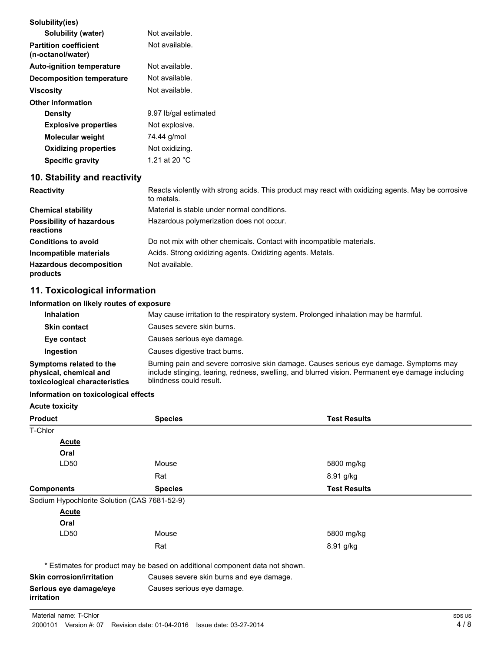| Solubility(ies)                                   |                                                                                                                  |
|---------------------------------------------------|------------------------------------------------------------------------------------------------------------------|
| Solubility (water)                                | Not available.                                                                                                   |
| <b>Partition coefficient</b><br>(n-octanol/water) | Not available.                                                                                                   |
| <b>Auto-ignition temperature</b>                  | Not available.                                                                                                   |
| <b>Decomposition temperature</b>                  | Not available.                                                                                                   |
| <b>Viscosity</b>                                  | Not available.                                                                                                   |
| <b>Other information</b>                          |                                                                                                                  |
| <b>Density</b>                                    | 9.97 lb/gal estimated                                                                                            |
| <b>Explosive properties</b>                       | Not explosive.                                                                                                   |
| <b>Molecular weight</b>                           | 74.44 g/mol                                                                                                      |
| <b>Oxidizing properties</b>                       | Not oxidizing.                                                                                                   |
| <b>Specific gravity</b>                           | 1.21 at 20 °C                                                                                                    |
| 10. Stability and reactivity                      |                                                                                                                  |
| <b>Reactivity</b>                                 | Reacts violently with strong acids. This product may react with oxidizing agents. May be corrosive<br>to metals. |
| <b>Chemical stability</b>                         | Material is stable under normal conditions.                                                                      |
| <b>Possibility of hazardous</b><br>reactions      | Hazardous polymerization does not occur.                                                                         |
| <b>Conditions to avoid</b>                        | Do not mix with other chemicals. Contact with incompatible materials.                                            |
| Incompatible materials                            | Acids. Strong oxidizing agents. Oxidizing agents. Metals.                                                        |
| <b>Hazardous decomposition</b><br>products        | Not available.                                                                                                   |

# **11. Toxicological information**

#### **Information on likely routes of exposure**

| <b>Inhalation</b>                                                                  | May cause irritation to the respiratory system. Prolonged inhalation may be harmful.                                                                                                                                  |
|------------------------------------------------------------------------------------|-----------------------------------------------------------------------------------------------------------------------------------------------------------------------------------------------------------------------|
| <b>Skin contact</b>                                                                | Causes severe skin burns.                                                                                                                                                                                             |
| Eye contact                                                                        | Causes serious eye damage.                                                                                                                                                                                            |
| Ingestion                                                                          | Causes digestive tract burns.                                                                                                                                                                                         |
| Symptoms related to the<br>physical, chemical and<br>toxicological characteristics | Burning pain and severe corrosive skin damage. Causes serious eye damage. Symptoms may<br>include stinging, tearing, redness, swelling, and blurred vision. Permanent eye damage including<br>blindness could result. |

## **Information on toxicological effects**

# **Acute toxicity**

| <b>Product</b>                               | <b>Species</b>                                                               | <b>Test Results</b> |
|----------------------------------------------|------------------------------------------------------------------------------|---------------------|
| T-Chlor                                      |                                                                              |                     |
| <b>Acute</b>                                 |                                                                              |                     |
| Oral                                         |                                                                              |                     |
| LD50                                         | Mouse                                                                        | 5800 mg/kg          |
|                                              | Rat                                                                          | 8.91 g/kg           |
| <b>Components</b>                            | <b>Species</b>                                                               | <b>Test Results</b> |
| Sodium Hypochlorite Solution (CAS 7681-52-9) |                                                                              |                     |
| <b>Acute</b>                                 |                                                                              |                     |
| Oral                                         |                                                                              |                     |
| LD50                                         | Mouse                                                                        | 5800 mg/kg          |
|                                              | Rat                                                                          | 8.91 g/kg           |
|                                              | * Estimates for product may be based on additional component data not shown. |                     |
| <b>Skin corrosion/irritation</b>             | Causes severe skin burns and eye damage.                                     |                     |
| Serious eye damage/eye<br>irritation         | Causes serious eye damage.                                                   |                     |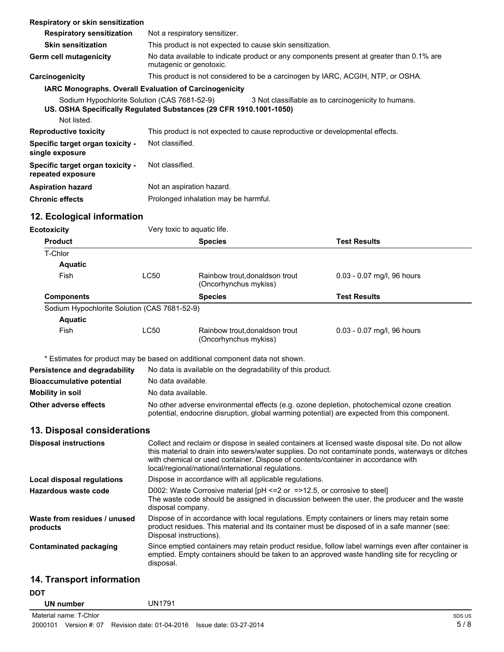|                                                                                                                                                                                                                                                                                                                                                                                   | Respiratory or skin sensitization                                                                                                                                                        |                                                                                                                                                                                                                        |                                                                              |                            |  |  |  |
|-----------------------------------------------------------------------------------------------------------------------------------------------------------------------------------------------------------------------------------------------------------------------------------------------------------------------------------------------------------------------------------|------------------------------------------------------------------------------------------------------------------------------------------------------------------------------------------|------------------------------------------------------------------------------------------------------------------------------------------------------------------------------------------------------------------------|------------------------------------------------------------------------------|----------------------------|--|--|--|
|                                                                                                                                                                                                                                                                                                                                                                                   | <b>Respiratory sensitization</b>                                                                                                                                                         | Not a respiratory sensitizer.                                                                                                                                                                                          |                                                                              |                            |  |  |  |
| <b>Skin sensitization</b>                                                                                                                                                                                                                                                                                                                                                         |                                                                                                                                                                                          | This product is not expected to cause skin sensitization.                                                                                                                                                              |                                                                              |                            |  |  |  |
| Germ cell mutagenicity                                                                                                                                                                                                                                                                                                                                                            |                                                                                                                                                                                          | No data available to indicate product or any components present at greater than 0.1% are<br>mutagenic or genotoxic.                                                                                                    |                                                                              |                            |  |  |  |
| Carcinogenicity                                                                                                                                                                                                                                                                                                                                                                   |                                                                                                                                                                                          | This product is not considered to be a carcinogen by IARC, ACGIH, NTP, or OSHA.                                                                                                                                        |                                                                              |                            |  |  |  |
| IARC Monographs. Overall Evaluation of Carcinogenicity                                                                                                                                                                                                                                                                                                                            |                                                                                                                                                                                          |                                                                                                                                                                                                                        |                                                                              |                            |  |  |  |
|                                                                                                                                                                                                                                                                                                                                                                                   | Sodium Hypochlorite Solution (CAS 7681-52-9)<br>3 Not classifiable as to carcinogenicity to humans.<br>US. OSHA Specifically Regulated Substances (29 CFR 1910.1001-1050)<br>Not listed. |                                                                                                                                                                                                                        |                                                                              |                            |  |  |  |
|                                                                                                                                                                                                                                                                                                                                                                                   | <b>Reproductive toxicity</b>                                                                                                                                                             |                                                                                                                                                                                                                        |                                                                              |                            |  |  |  |
| This product is not expected to cause reproductive or developmental effects.<br>Specific target organ toxicity -<br>Not classified.<br>single exposure                                                                                                                                                                                                                            |                                                                                                                                                                                          |                                                                                                                                                                                                                        |                                                                              |                            |  |  |  |
| Specific target organ toxicity -<br>repeated exposure                                                                                                                                                                                                                                                                                                                             |                                                                                                                                                                                          | Not classified.                                                                                                                                                                                                        |                                                                              |                            |  |  |  |
|                                                                                                                                                                                                                                                                                                                                                                                   | <b>Aspiration hazard</b>                                                                                                                                                                 | Not an aspiration hazard.                                                                                                                                                                                              |                                                                              |                            |  |  |  |
|                                                                                                                                                                                                                                                                                                                                                                                   | <b>Chronic effects</b>                                                                                                                                                                   |                                                                                                                                                                                                                        | Prolonged inhalation may be harmful.                                         |                            |  |  |  |
|                                                                                                                                                                                                                                                                                                                                                                                   |                                                                                                                                                                                          |                                                                                                                                                                                                                        |                                                                              |                            |  |  |  |
|                                                                                                                                                                                                                                                                                                                                                                                   | 12. Ecological information                                                                                                                                                               |                                                                                                                                                                                                                        |                                                                              |                            |  |  |  |
|                                                                                                                                                                                                                                                                                                                                                                                   | <b>Ecotoxicity</b>                                                                                                                                                                       | Very toxic to aquatic life.                                                                                                                                                                                            |                                                                              |                            |  |  |  |
|                                                                                                                                                                                                                                                                                                                                                                                   | <b>Product</b>                                                                                                                                                                           |                                                                                                                                                                                                                        | <b>Species</b>                                                               | <b>Test Results</b>        |  |  |  |
|                                                                                                                                                                                                                                                                                                                                                                                   | T-Chlor                                                                                                                                                                                  |                                                                                                                                                                                                                        |                                                                              |                            |  |  |  |
|                                                                                                                                                                                                                                                                                                                                                                                   | <b>Aquatic</b>                                                                                                                                                                           |                                                                                                                                                                                                                        |                                                                              |                            |  |  |  |
|                                                                                                                                                                                                                                                                                                                                                                                   | Fish                                                                                                                                                                                     | <b>LC50</b>                                                                                                                                                                                                            | Rainbow trout, donaldson trout<br>(Oncorhynchus mykiss)                      | 0.03 - 0.07 mg/l, 96 hours |  |  |  |
|                                                                                                                                                                                                                                                                                                                                                                                   | <b>Components</b>                                                                                                                                                                        |                                                                                                                                                                                                                        | <b>Species</b>                                                               | <b>Test Results</b>        |  |  |  |
|                                                                                                                                                                                                                                                                                                                                                                                   | Sodium Hypochlorite Solution (CAS 7681-52-9)                                                                                                                                             |                                                                                                                                                                                                                        |                                                                              |                            |  |  |  |
|                                                                                                                                                                                                                                                                                                                                                                                   | <b>Aquatic</b>                                                                                                                                                                           |                                                                                                                                                                                                                        |                                                                              |                            |  |  |  |
|                                                                                                                                                                                                                                                                                                                                                                                   | Fish                                                                                                                                                                                     | <b>LC50</b>                                                                                                                                                                                                            | Rainbow trout, donaldson trout<br>(Oncorhynchus mykiss)                      | 0.03 - 0.07 mg/l, 96 hours |  |  |  |
|                                                                                                                                                                                                                                                                                                                                                                                   |                                                                                                                                                                                          |                                                                                                                                                                                                                        | * Estimates for product may be based on additional component data not shown. |                            |  |  |  |
|                                                                                                                                                                                                                                                                                                                                                                                   | Persistence and degradability                                                                                                                                                            |                                                                                                                                                                                                                        | No data is available on the degradability of this product.                   |                            |  |  |  |
|                                                                                                                                                                                                                                                                                                                                                                                   | <b>Bioaccumulative potential</b>                                                                                                                                                         | No data available.                                                                                                                                                                                                     |                                                                              |                            |  |  |  |
|                                                                                                                                                                                                                                                                                                                                                                                   | <b>Mobility in soil</b>                                                                                                                                                                  | No data available.                                                                                                                                                                                                     |                                                                              |                            |  |  |  |
| Other adverse effects                                                                                                                                                                                                                                                                                                                                                             |                                                                                                                                                                                          | No other adverse environmental effects (e.g. ozone depletion, photochemical ozone creation<br>potential, endocrine disruption, global warming potential) are expected from this component.                             |                                                                              |                            |  |  |  |
|                                                                                                                                                                                                                                                                                                                                                                                   | 13. Disposal considerations                                                                                                                                                              |                                                                                                                                                                                                                        |                                                                              |                            |  |  |  |
| <b>Disposal instructions</b><br>Collect and reclaim or dispose in sealed containers at licensed waste disposal site. Do not allow<br>this material to drain into sewers/water supplies. Do not contaminate ponds, waterways or ditches<br>with chemical or used container. Dispose of contents/container in accordance with<br>local/regional/national/international regulations. |                                                                                                                                                                                          |                                                                                                                                                                                                                        |                                                                              |                            |  |  |  |
|                                                                                                                                                                                                                                                                                                                                                                                   | Dispose in accordance with all applicable regulations.<br>Local disposal regulations                                                                                                     |                                                                                                                                                                                                                        |                                                                              |                            |  |  |  |
|                                                                                                                                                                                                                                                                                                                                                                                   | Hazardous waste code                                                                                                                                                                     | D002: Waste Corrosive material [pH <= 2 or = > 12.5, or corrosive to steel]<br>The waste code should be assigned in discussion between the user, the producer and the waste<br>disposal company.                       |                                                                              |                            |  |  |  |
|                                                                                                                                                                                                                                                                                                                                                                                   | Waste from residues / unused<br>products                                                                                                                                                 | Dispose of in accordance with local regulations. Empty containers or liners may retain some<br>product residues. This material and its container must be disposed of in a safe manner (see:<br>Disposal instructions). |                                                                              |                            |  |  |  |
| <b>Contaminated packaging</b>                                                                                                                                                                                                                                                                                                                                                     |                                                                                                                                                                                          | Since emptied containers may retain product residue, follow label warnings even after container is<br>emptied. Empty containers should be taken to an approved waste handling site for recycling or<br>disposal.       |                                                                              |                            |  |  |  |
| <b>DOT</b>                                                                                                                                                                                                                                                                                                                                                                        | 14. Transport information                                                                                                                                                                |                                                                                                                                                                                                                        |                                                                              |                            |  |  |  |

## Material name: T-Chlor 2000101 Version #: 07 Revision date: 01-04-2016 Issue date: 03-27-2014

**UN number** UN1791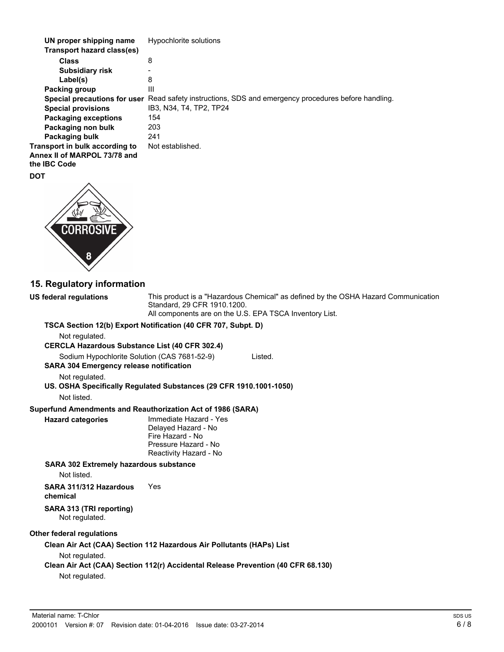| UN proper shipping name                                                        | Hypochlorite solutions                                                                               |
|--------------------------------------------------------------------------------|------------------------------------------------------------------------------------------------------|
| Transport hazard class(es)                                                     |                                                                                                      |
| <b>Class</b>                                                                   | 8                                                                                                    |
| Subsidiary risk                                                                |                                                                                                      |
| Label(s)                                                                       | 8                                                                                                    |
| Packing group                                                                  | $\mathbf{III}$                                                                                       |
|                                                                                | Special precautions for user Read safety instructions, SDS and emergency procedures before handling. |
| <b>Special provisions</b>                                                      | IB3. N34. T4. TP2. TP24                                                                              |
| <b>Packaging exceptions</b>                                                    | 154                                                                                                  |
| Packaging non bulk                                                             | 203                                                                                                  |
| Packaging bulk                                                                 | 241                                                                                                  |
| Transport in bulk according to<br>Annex II of MARPOL 73/78 and<br>the IBC Code | Not established.                                                                                     |
| ---                                                                            |                                                                                                      |

#### **DOT**



## **15. Regulatory information**

**US federal regulations**

This product is a "Hazardous Chemical" as defined by the OSHA Hazard Communication Standard, 29 CFR 1910.1200. All components are on the U.S. EPA TSCA Inventory List.

#### **TSCA Section 12(b) Export Notification (40 CFR 707, Subpt. D)**

Not regulated.

## **CERCLA Hazardous Substance List (40 CFR 302.4)**

Sodium Hypochlorite Solution (CAS 7681-52-9) Listed.

**SARA 304 Emergency release notification**

Not regulated.

#### **US. OSHA Specifically Regulated Substances (29 CFR 1910.1001-1050)** Not listed.

## **Superfund Amendments and Reauthorization Act of 1986 (SARA)**

| <b>Hazard categories</b> | Immediate Hazard - Yes<br>Delayed Hazard - No |
|--------------------------|-----------------------------------------------|
|                          | Fire Hazard - No                              |
|                          | Pressure Hazard - No                          |
|                          | Reactivity Hazard - No                        |

## **SARA 302 Extremely hazardous substance**

Not listed.

**SARA 311/312 Hazardous** Yes **chemical SARA 313 (TRI reporting)**

Not regulated.

#### **Other federal regulations**

## **Clean Air Act (CAA) Section 112 Hazardous Air Pollutants (HAPs) List** Not regulated. **Clean Air Act (CAA) Section 112(r) Accidental Release Prevention (40 CFR 68.130)** Not regulated.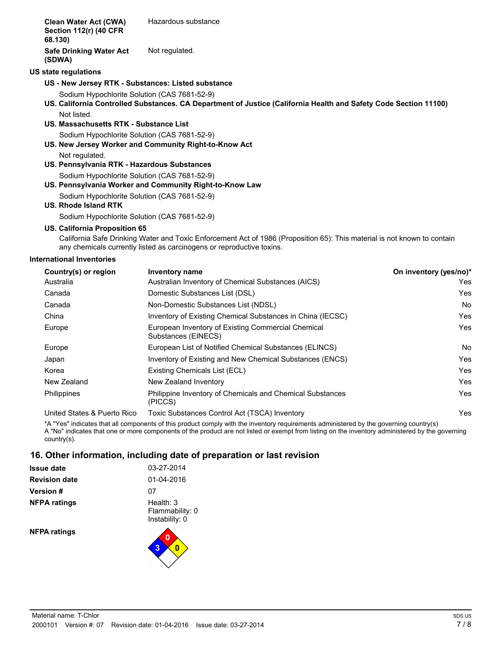| <b>Clean Water Act (CWA)</b><br><b>Section 112(r) (40 CFR</b><br>68.130) | Hazardous substance                                                                                                                                                                               |                            |
|--------------------------------------------------------------------------|---------------------------------------------------------------------------------------------------------------------------------------------------------------------------------------------------|----------------------------|
| <b>Safe Drinking Water Act</b><br>(SDWA)                                 | Not regulated.                                                                                                                                                                                    |                            |
| US state regulations                                                     |                                                                                                                                                                                                   |                            |
|                                                                          | US - New Jersey RTK - Substances: Listed substance                                                                                                                                                |                            |
|                                                                          | Sodium Hypochlorite Solution (CAS 7681-52-9)<br>US. California Controlled Substances. CA Department of Justice (California Health and Safety Code Section 11100)                                  |                            |
| Not listed.                                                              |                                                                                                                                                                                                   |                            |
| US. Massachusetts RTK - Substance List                                   |                                                                                                                                                                                                   |                            |
|                                                                          | Sodium Hypochlorite Solution (CAS 7681-52-9)<br>US. New Jersey Worker and Community Right-to-Know Act                                                                                             |                            |
| Not regulated.                                                           |                                                                                                                                                                                                   |                            |
|                                                                          | US. Pennsylvania RTK - Hazardous Substances                                                                                                                                                       |                            |
|                                                                          | Sodium Hypochlorite Solution (CAS 7681-52-9)                                                                                                                                                      |                            |
|                                                                          | US. Pennsylvania Worker and Community Right-to-Know Law                                                                                                                                           |                            |
| <b>US. Rhode Island RTK</b>                                              | Sodium Hypochlorite Solution (CAS 7681-52-9)                                                                                                                                                      |                            |
|                                                                          | Sodium Hypochlorite Solution (CAS 7681-52-9)                                                                                                                                                      |                            |
| <b>US. California Proposition 65</b>                                     | California Safe Drinking Water and Toxic Enforcement Act of 1986 (Proposition 65): This material is not known to contain<br>any chemicals currently listed as carcinogens or reproductive toxins. |                            |
| International Inventories                                                |                                                                                                                                                                                                   |                            |
| Country(s) or region                                                     | Inventory name                                                                                                                                                                                    | On inventory (yes/no)*     |
| Australia                                                                | Australian Inventory of Chemical Substances (AICS)                                                                                                                                                | Yes                        |
| $0 - 0 - 0 -$                                                            | $D$ casaatis $D \cup$ batangga List (DOL)                                                                                                                                                         | $\mathcal{L}_{\mathbf{a}}$ |

| Australia                   | Australian Inventory of Chemical Substances (AICS)                        | Yes |
|-----------------------------|---------------------------------------------------------------------------|-----|
| Canada                      | Domestic Substances List (DSL)                                            | Yes |
| Canada                      | Non-Domestic Substances List (NDSL)                                       | No  |
| China                       | Inventory of Existing Chemical Substances in China (IECSC)                | Yes |
| Europe                      | European Inventory of Existing Commercial Chemical<br>Substances (EINECS) | Yes |
| Europe                      | European List of Notified Chemical Substances (ELINCS)                    | No  |
| Japan                       | Inventory of Existing and New Chemical Substances (ENCS)                  | Yes |
| Korea                       | Existing Chemicals List (ECL)                                             | Yes |
| New Zealand                 | New Zealand Inventory                                                     | Yes |
| Philippines                 | Philippine Inventory of Chemicals and Chemical Substances<br>(PICCS)      | Yes |
| United States & Puerto Rico | Toxic Substances Control Act (TSCA) Inventory                             | Yes |

\*A "Yes" indicates that all components of this product comply with the inventory requirements administered by the governing country(s) A "No" indicates that one or more components of the product are not listed or exempt from listing on the inventory administered by the governing country(s).

# **16. Other information, including date of preparation or last revision**

**3 0**

| Issue date           | 03-27-2014                                       |  |
|----------------------|--------------------------------------------------|--|
| <b>Revision date</b> | 01-04-2016                                       |  |
| <b>Version#</b>      | 07                                               |  |
| <b>NFPA ratings</b>  | Health: $3$<br>Flammability: 0<br>Instability: 0 |  |
| <b>NFPA ratings</b>  |                                                  |  |